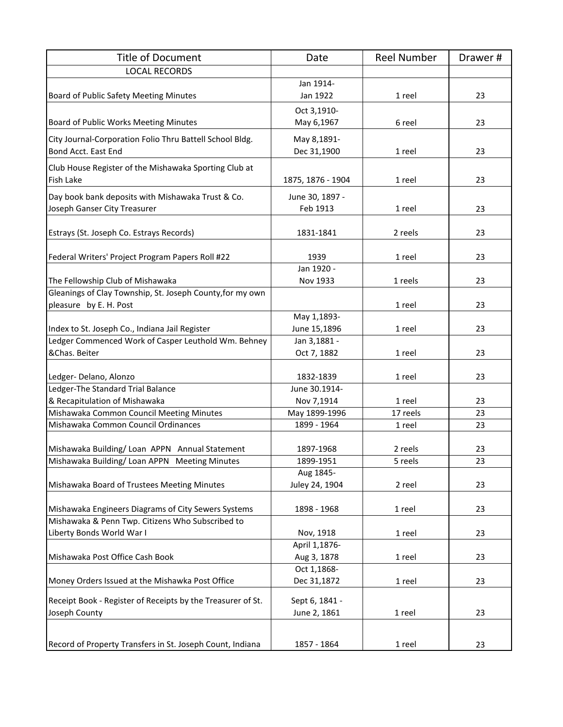| <b>Title of Document</b>                                    | Date                   | <b>Reel Number</b> | Drawer#  |
|-------------------------------------------------------------|------------------------|--------------------|----------|
| <b>LOCAL RECORDS</b>                                        |                        |                    |          |
|                                                             | Jan 1914-              |                    |          |
| Board of Public Safety Meeting Minutes                      | Jan 1922               | 1 reel             | 23       |
|                                                             | Oct 3,1910-            |                    |          |
| Board of Public Works Meeting Minutes                       | May 6,1967             | 6 reel             | 23       |
| City Journal-Corporation Folio Thru Battell School Bldg.    | May 8,1891-            |                    |          |
| Bond Acct. East End                                         | Dec 31,1900            | 1 reel             | 23       |
| Club House Register of the Mishawaka Sporting Club at       |                        |                    |          |
| Fish Lake                                                   | 1875, 1876 - 1904      | 1 reel             | 23       |
| Day book bank deposits with Mishawaka Trust & Co.           | June 30, 1897 -        |                    |          |
| Joseph Ganser City Treasurer                                | Feb 1913               | 1 reel             | 23       |
|                                                             |                        |                    |          |
| Estrays (St. Joseph Co. Estrays Records)                    | 1831-1841              | 2 reels            | 23       |
|                                                             |                        |                    |          |
| Federal Writers' Project Program Papers Roll #22            | 1939<br>Jan 1920 -     | 1 reel             | 23       |
| The Fellowship Club of Mishawaka                            | Nov 1933               | 1 reels            | 23       |
| Gleanings of Clay Township, St. Joseph County, for my own   |                        |                    |          |
| pleasure by E. H. Post                                      |                        | 1 reel             | 23       |
|                                                             | May 1,1893-            |                    |          |
| Index to St. Joseph Co., Indiana Jail Register              | June 15,1896           | 1 reel             | 23       |
| Ledger Commenced Work of Casper Leuthold Wm. Behney         | Jan 3,1881 -           |                    |          |
| &Chas. Beiter                                               | Oct 7, 1882            | 1 reel             | 23       |
|                                                             |                        |                    |          |
| Ledger- Delano, Alonzo                                      | 1832-1839              | 1 reel             | 23       |
| Ledger-The Standard Trial Balance                           | June 30.1914-          |                    |          |
| & Recapitulation of Mishawaka                               | Nov 7,1914             | 1 reel             | 23       |
| Mishawaka Common Council Meeting Minutes                    | May 1899-1996          | 17 reels           | 23       |
| Mishawaka Common Council Ordinances                         | 1899 - 1964            | 1 reel             | 23       |
|                                                             |                        |                    |          |
| Mishawaka Building/Loan APPN Annual Statement               | 1897-1968              | 2 reels            | 23<br>23 |
| Mishawaka Building/Loan APPN Meeting Minutes                | 1899-1951<br>Aug 1845- | 5 reels            |          |
| Mishawaka Board of Trustees Meeting Minutes                 | Juley 24, 1904         | 2 reel             | 23       |
|                                                             |                        |                    |          |
| Mishawaka Engineers Diagrams of City Sewers Systems         | 1898 - 1968            | 1 reel             | 23       |
| Mishawaka & Penn Twp. Citizens Who Subscribed to            |                        |                    |          |
| Liberty Bonds World War I                                   | Nov, 1918              | 1 reel             | 23       |
|                                                             | April 1,1876-          |                    |          |
| Mishawaka Post Office Cash Book                             | Aug 3, 1878            | 1 reel             | 23       |
|                                                             | Oct 1,1868-            |                    |          |
| Money Orders Issued at the Mishawka Post Office             | Dec 31,1872            | 1 reel             | 23       |
| Receipt Book - Register of Receipts by the Treasurer of St. | Sept 6, 1841 -         |                    |          |
| Joseph County                                               | June 2, 1861           | 1 reel             | 23       |
|                                                             |                        |                    |          |
|                                                             |                        |                    |          |
| Record of Property Transfers in St. Joseph Count, Indiana   | 1857 - 1864            | 1 reel             | 23       |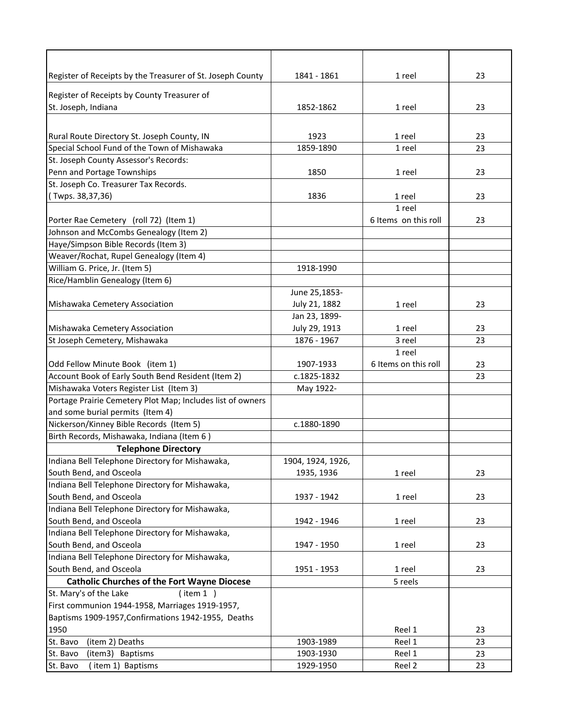| Register of Receipts by the Treasurer of St. Joseph County | 1841 - 1861       | 1 reel               | 23 |
|------------------------------------------------------------|-------------------|----------------------|----|
| Register of Receipts by County Treasurer of                |                   |                      |    |
| St. Joseph, Indiana                                        | 1852-1862         | 1 reel               | 23 |
|                                                            |                   |                      |    |
|                                                            |                   |                      |    |
| Rural Route Directory St. Joseph County, IN                | 1923              | 1 reel               | 23 |
| Special School Fund of the Town of Mishawaka               | 1859-1890         | 1 reel               | 23 |
| St. Joseph County Assessor's Records:                      |                   |                      |    |
| Penn and Portage Townships                                 | 1850              | 1 reel               | 23 |
| St. Joseph Co. Treasurer Tax Records.                      |                   |                      |    |
| (Twps. 38,37,36)                                           | 1836              | 1 reel               | 23 |
|                                                            |                   | 1 reel               |    |
| Porter Rae Cemetery (roll 72) (Item 1)                     |                   | 6 Items on this roll | 23 |
| Johnson and McCombs Genealogy (Item 2)                     |                   |                      |    |
| Haye/Simpson Bible Records (Item 3)                        |                   |                      |    |
| Weaver/Rochat, Rupel Genealogy (Item 4)                    |                   |                      |    |
| William G. Price, Jr. (Item 5)                             | 1918-1990         |                      |    |
| Rice/Hamblin Genealogy (Item 6)                            |                   |                      |    |
|                                                            | June 25,1853-     |                      |    |
| Mishawaka Cemetery Association                             | July 21, 1882     | 1 reel               | 23 |
|                                                            | Jan 23, 1899-     |                      |    |
| Mishawaka Cemetery Association                             | July 29, 1913     | 1 reel               | 23 |
| St Joseph Cemetery, Mishawaka                              | 1876 - 1967       | 3 reel               | 23 |
|                                                            |                   | 1 reel               |    |
| Odd Fellow Minute Book (item 1)                            | 1907-1933         | 6 Items on this roll | 23 |
| Account Book of Early South Bend Resident (Item 2)         | c.1825-1832       |                      | 23 |
| Mishawaka Voters Register List (Item 3)                    | May 1922-         |                      |    |
| Portage Prairie Cemetery Plot Map; Includes list of owners |                   |                      |    |
| and some burial permits (Item 4)                           |                   |                      |    |
| Nickerson/Kinney Bible Records (Item 5)                    | c.1880-1890       |                      |    |
| Birth Records, Mishawaka, Indiana (Item 6)                 |                   |                      |    |
| <b>Telephone Directory</b>                                 |                   |                      |    |
| Indiana Bell Telephone Directory for Mishawaka,            | 1904, 1924, 1926, |                      |    |
| South Bend, and Osceola                                    | 1935, 1936        | 1 reel               | 23 |
| Indiana Bell Telephone Directory for Mishawaka,            |                   |                      |    |
| South Bend, and Osceola                                    | 1937 - 1942       | 1 reel               | 23 |
| Indiana Bell Telephone Directory for Mishawaka,            |                   |                      |    |
| South Bend, and Osceola                                    | 1942 - 1946       | 1 reel               | 23 |
| Indiana Bell Telephone Directory for Mishawaka,            |                   |                      |    |
| South Bend, and Osceola                                    | 1947 - 1950       | 1 reel               | 23 |
| Indiana Bell Telephone Directory for Mishawaka,            |                   |                      |    |
| South Bend, and Osceola                                    | 1951 - 1953       | 1 reel               | 23 |
| <b>Catholic Churches of the Fort Wayne Diocese</b>         |                   | 5 reels              |    |
| St. Mary's of the Lake<br>(item 1)                         |                   |                      |    |
| First communion 1944-1958, Marriages 1919-1957,            |                   |                      |    |
| Baptisms 1909-1957, Confirmations 1942-1955, Deaths        |                   |                      |    |
| 1950                                                       |                   | Reel 1               | 23 |
| St. Bavo<br>(item 2) Deaths                                | 1903-1989         | Reel 1               | 23 |
| St. Bavo<br>(item3) Baptisms                               | 1903-1930         | Reel 1               | 23 |
| St. Bavo<br>(item 1) Baptisms                              | 1929-1950         | Reel 2               | 23 |
|                                                            |                   |                      |    |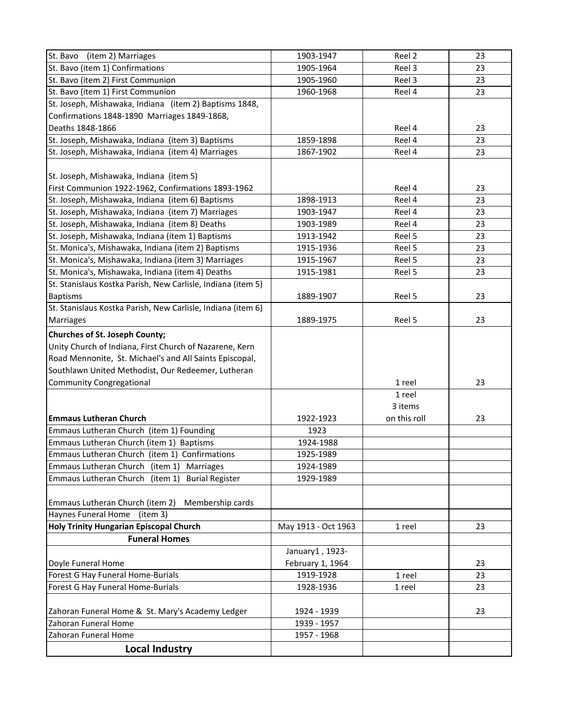| 23 |
|----|
| 23 |
| 23 |
| 23 |
|    |
|    |
| 23 |
| 23 |
| 23 |
|    |
|    |
| 23 |
| 23 |
| 23 |
| 23 |
| 23 |
| 23 |
| 23 |
| 23 |
|    |
| 23 |
|    |
| 23 |
|    |
|    |
|    |
|    |
| 23 |
|    |
|    |
| 23 |
|    |
|    |
|    |
|    |
|    |
|    |
|    |
|    |
| 23 |
|    |
|    |
| 23 |
| 23 |
| 23 |
|    |
| 23 |
|    |
|    |
|    |
|    |